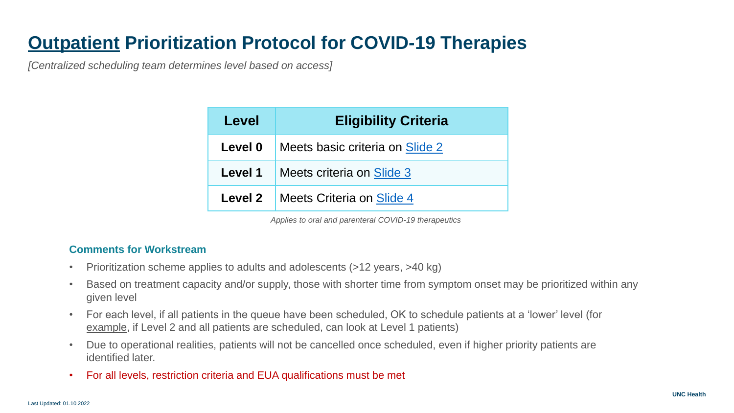# **Outpatient Prioritization Protocol for COVID-19 Therapies**

*[Centralized scheduling team determines level based on access]*

| Level          | <b>Eligibility Criteria</b>     |
|----------------|---------------------------------|
| Level 0        | Meets basic criteria on Slide 2 |
| Level 1        | Meets criteria on Slide 3       |
| <b>Level 2</b> | Meets Criteria on Slide 4       |

*Applies to oral and parenteral COVID-19 therapeutics* 

### **Comments for Workstream**

- Prioritization scheme applies to adults and adolescents (>12 years, >40 kg)
- Based on treatment capacity and/or supply, those with shorter time from symptom onset may be prioritized within any given level
- For each level, if all patients in the queue have been scheduled, OK to schedule patients at a 'lower' level (for example, if Level 2 and all patients are scheduled, can look at Level 1 patients)
- Due to operational realities, patients will not be cancelled once scheduled, even if higher priority patients are identified later.
- For all levels, restriction criteria and EUA qualifications must be met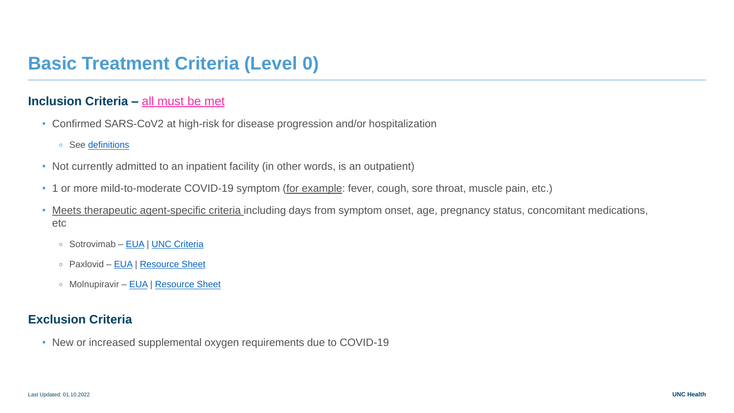## <span id="page-1-0"></span>**Basic Treatment Criteria (Level 0)**

### **Inclusion Criteria –** all must be met

- Confirmed SARS-CoV2 at high-risk for disease progression and/or hospitalization
	- See [definitions](#page-6-0)
- Not currently admitted to an inpatient facility (in other words, is an outpatient)
- 1 or more mild-to-moderate COVID-19 symptom (for example: fever, cough, sore throat, muscle pain, etc.)
- Meets therapeutic agent-specific criteria including days from symptom onset, age, pregnancy status, concomitant medications, etc
	- Sotrovimab [EUA](https://www.fda.gov/media/149534/download) | [UNC Criteria](https://unchcs.intranet.unchealthcare.org/dept/Pharmacy/System%20PT/zCOVID%20Documents/Sotrovimab%20COVID-19%20criteria.pdf)
	- Paxlovid [EUA](https://www.fda.gov/media/155050/download) | [Resource Sheet](https://unchcs.intranet.unchealthcare.org/dept/Pharmacy/System%20PT/zCOVID%20Documents/Paxlovid%20resource%20document.pdf)
	- Molnupiravir [EUA](https://www.fda.gov/media/155054/download) | [Resource Sheet](https://unchcs.intranet.unchealthcare.org/COVID19ResourcesandNews/Documents/TreatmentGuidelines/Molnupiravir.pptx?Web=1)

### **Exclusion Criteria**

• New or increased supplemental oxygen requirements due to COVID-19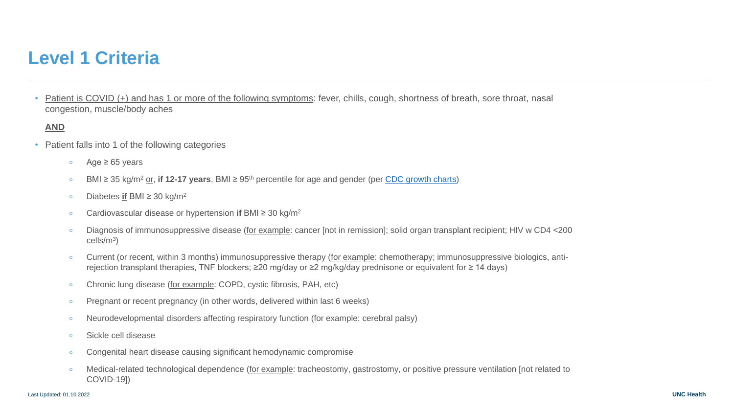## <span id="page-2-0"></span>**Level 1 Criteria**

• Patient is COVID (+) and has 1 or more of the following symptoms: fever, chills, cough, shortness of breath, sore throat, nasal congestion, muscle/body aches

#### **AND**

- Patient falls into 1 of the following categories
	- $\circ$  Age  $\geq 65$  years
	- BMI ≥ 35 kg/m<sup>2</sup> or, **if 12-17 years**, BMI ≥ 95th percentile for age and gender (per [CDC growth charts\)](https://www.cdc.gov/growthcharts/clinical_charts.htm)
	- Diabetes **if** BMI ≥ 30 kg/m<sup>2</sup>
	- Cardiovascular disease or hypertension **if** BMI ≥ 30 kg/m<sup>2</sup>
	- Diagnosis of immunosuppressive disease (for example: cancer [not in remission]; solid organ transplant recipient; HIV w CD4 <200 cells/m<sup>3</sup> )
	- Current (or recent, within 3 months) immunosuppressive therapy (for example: chemotherapy; immunosuppressive biologics, antirejection transplant therapies, TNF blockers; ≥20 mg/day or ≥2 mg/kg/day prednisone or equivalent for ≥ 14 days)
	- Chronic lung disease (for example: COPD, cystic fibrosis, PAH, etc)
	- Pregnant or recent pregnancy (in other words, delivered within last 6 weeks)
	- Neurodevelopmental disorders affecting respiratory function (for example: cerebral palsy)
	- Sickle cell disease
	- Congenital heart disease causing significant hemodynamic compromise
	- Medical-related technological dependence (for example: tracheostomy, gastrostomy, or positive pressure ventilation [not related to COVID-19])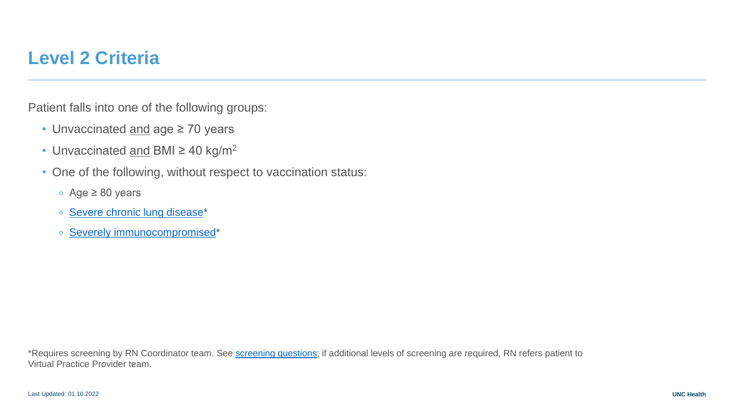## <span id="page-3-0"></span>**Level 2 Criteria**

Patient falls into one of the following groups:

- Unvaccinated and age ≥ 70 years
- Unvaccinated and BMI  $\geq$  40 kg/m<sup>2</sup>
- One of the following, without respect to vaccination status:
	- Age ≥ 80 years
	- [Severe chronic lung disease](#page-4-0)\*
	- [Severely immunocompromised](#page-4-0)\*

\*Requires screening by RN Coordinator team. See [screening questions](#page-5-0); if additional levels of screening are required, RN refers patient to Virtual Practice Provider team.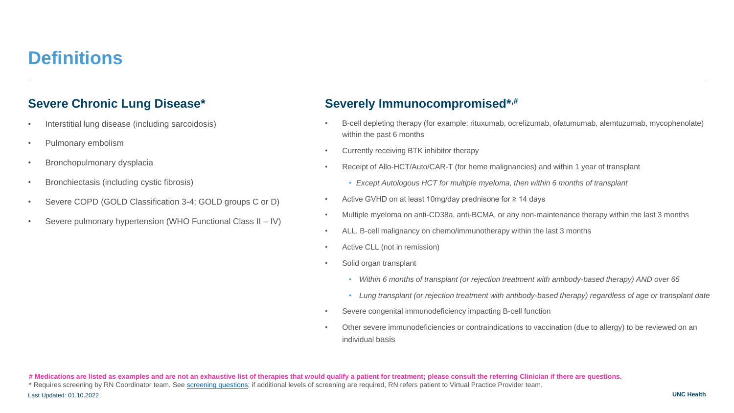## <span id="page-4-0"></span>**Definitions**

### **Severe Chronic Lung Disease\***

- Interstitial lung disease (including sarcoidosis)
- Pulmonary embolism
- Bronchopulmonary dysplacia
- Bronchiectasis (including cystic fibrosis)
- Severe COPD (GOLD Classification 3-4; GOLD groups C or D)
- Severe pulmonary hypertension (WHO Functional Class II IV)

### **Severely Immunocompromised\*,#**

- B-cell depleting therapy (for example: rituxumab, ocrelizumab, ofatumumab, alemtuzumab, mycophenolate) within the past 6 months
- Currently receiving BTK inhibitor therapy
- Receipt of Allo-HCT/Auto/CAR-T (for heme malignancies) and within 1 year of transplant
	- *Except Autologous HCT for multiple myeloma, then within 6 months of transplant*
- Active GVHD on at least 10mg/day prednisone for ≥ 14 days
- Multiple myeloma on anti-CD38a, anti-BCMA, or any non-maintenance therapy within the last 3 months
- ALL, B-cell malignancy on chemo/immunotherapy within the last 3 months
- Active CLL (not in remission)
- Solid organ transplant
	- *Within 6 months of transplant (or rejection treatment with antibody-based therapy) AND over 65*
	- *Lung transplant (or rejection treatment with antibody-based therapy) regardless of age or transplant date*
- Severe congenital immunodeficiency impacting B-cell function
- Other severe immunodeficiencies or contraindications to vaccination (due to allergy) to be reviewed on an individual basis

\* Requires screening by RN Coordinator team. See [screening questions](#page-5-0); if additional levels of screening are required, RN refers patient to Virtual Practice Provider team.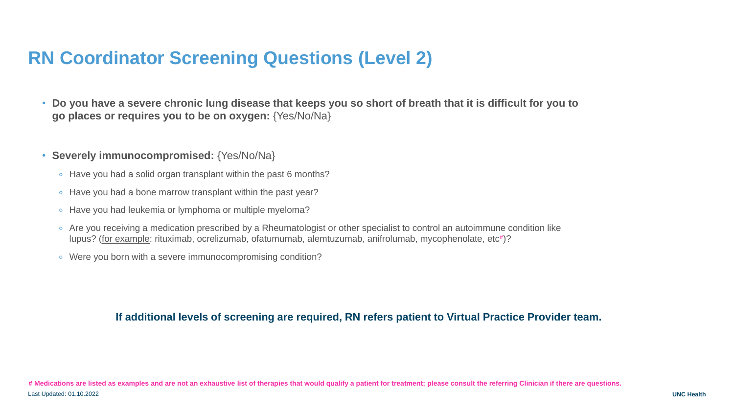# <span id="page-5-0"></span>**RN Coordinator Screening Questions (Level 2)**

- **Do you have a severe chronic lung disease that keeps you so short of breath that it is difficult for you to go places or requires you to be on oxygen:** {Yes/No/Na}
- **Severely immunocompromised:** {Yes/No/Na}
	- Have you had a solid organ transplant within the past 6 months?
	- Have you had a bone marrow transplant within the past year?
	- Have you had leukemia or lymphoma or multiple myeloma?
	- Are you receiving a medication prescribed by a Rheumatologist or other specialist to control an autoimmune condition like lupus? (for example: rituximab, ocrelizumab, ofatumumab, alemtuzumab, anifrolumab, mycophenolate, etc#)?
	- Were you born with a severe immunocompromising condition?

### **If additional levels of screening are required, RN refers patient to Virtual Practice Provider team.**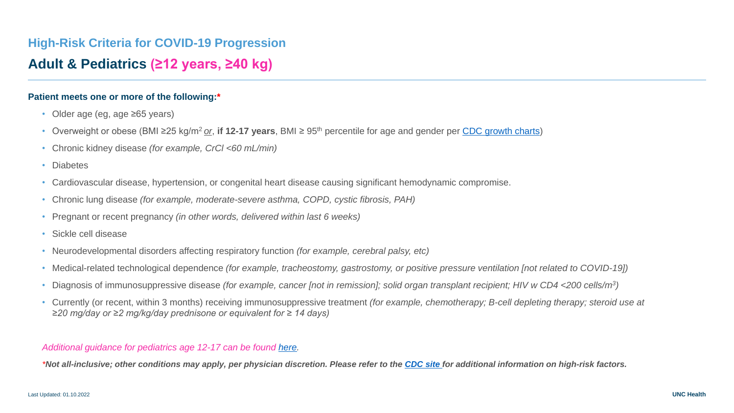## <span id="page-6-0"></span>**High-Risk Criteria for COVID-19 Progression**

### **Adult & Pediatrics (≥12 years, ≥40 kg)**

#### **Patient meets one or more of the following:\***

- Older age (eg, age ≥65 years)
- Overweight or obese (BMI ≥25 kg/m<sup>2</sup>*or*, **if 12-17 years**, BMI ≥ 95th percentile for age and gender per [CDC growth charts](https://www.cdc.gov/growthcharts/clinical_charts.htm))
- Chronic kidney disease *(for example, CrCl <60 mL/min)*
- Diabetes
- Cardiovascular disease, hypertension, or congenital heart disease causing significant hemodynamic compromise.
- Chronic lung disease *(for example, moderate-severe asthma, COPD, cystic fibrosis, PAH)*
- Pregnant or recent pregnancy *(in other words, delivered within last 6 weeks)*
- Sickle cell disease
- Neurodevelopmental disorders affecting respiratory function *(for example, cerebral palsy, etc)*
- Medical-related technological dependence *(for example, tracheostomy, gastrostomy, or positive pressure ventilation [not related to COVID-19])*
- Diagnosis of immunosuppressive disease *(for example, cancer [not in remission]; solid organ transplant recipient; HIV w CD4 <200 cells/m<sup>3</sup> )*
- Currently (or recent, within 3 months) receiving immunosuppressive treatment *(for example, chemotherapy; B-cell depleting therapy; steroid use at ≥20 mg/day or ≥2 mg/kg/day prednisone or equivalent for ≥ 14 days)*

#### *Additional guidance for pediatrics age 12-17 can be found [here](https://unchcs.intranet.unchealthcare.org/dept/Pharmacy/System%20PT/zCOVID%20Documents/Pediatric%20COVID-19%20monoclonal%20guidance.pdf).*

*\*Not all-inclusive; other conditions may apply, per physician discretion. Please refer to the [CDC site](https://www.cdc.gov/coronavirus/2019-ncov/need-extra-precautions/index.html) for additional information on high-risk factors.*